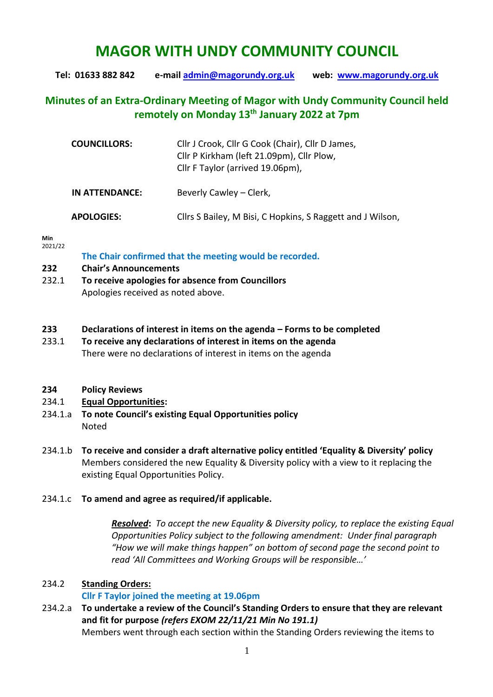# **MAGOR WITH UNDY COMMUNITY COUNCIL**

**Tel: 01633 882 842 e-mail [admin@magorundy.org.uk](mailto:admin@magorundy.org.uk) web: [www.magorundy.org.uk](http://www.magorundy.org.uk/)**

## **Minutes of an Extra-Ordinary Meeting of Magor with Undy Community Council held remotely on Monday 13 th January 2022 at 7pm**

| <b>COUNCILLORS:</b> | Cllr J Crook, Cllr G Cook (Chair), Cllr D James,<br>Cllr P Kirkham (left 21.09pm), Cllr Plow,<br>Cllr F Taylor (arrived 19.06pm), |
|---------------------|-----------------------------------------------------------------------------------------------------------------------------------|
| IN ATTENDANCE:      | Beverly Cawley – Clerk,                                                                                                           |
| <b>APOLOGIES:</b>   | Cllrs S Bailey, M Bisi, C Hopkins, S Raggett and J Wilson,                                                                        |

#### **Min**  2021/22

**The Chair confirmed that the meeting would be recorded.**

- **232 Chair's Announcements**
- 232.1 **To receive apologies for absence from Councillors** Apologies received as noted above.

#### **233 Declarations of interest in items on the agenda – Forms to be completed**

233.1 **To receive any declarations of interest in items on the agenda** There were no declarations of interest in items on the agenda

#### **234 Policy Reviews**

#### 234.1 **Equal Opportunities:**

- 234.1.a **To note Council's existing Equal Opportunities policy** Noted
- 234.1.b **To receive and consider a draft alternative policy entitled 'Equality & Diversity' policy** Members considered the new Equality & Diversity policy with a view to it replacing the existing Equal Opportunities Policy.

#### 234.1.c **To amend and agree as required/if applicable.**

*Resolved***:** *To accept the new Equality & Diversity policy, to replace the existing Equal Opportunities Policy subject to the following amendment: Under final paragraph "How we will make things happen" on bottom of second page the second point to read 'All Committees and Working Groups will be responsible…'*

### 234.2 **Standing Orders:**

### **Cllr F Taylor joined the meeting at 19.06pm**

234.2.a **To undertake a review of the Council's Standing Orders to ensure that they are relevant and fit for purpose** *(refers EXOM 22/11/21 Min No 191.1)* Members went through each section within the Standing Orders reviewing the items to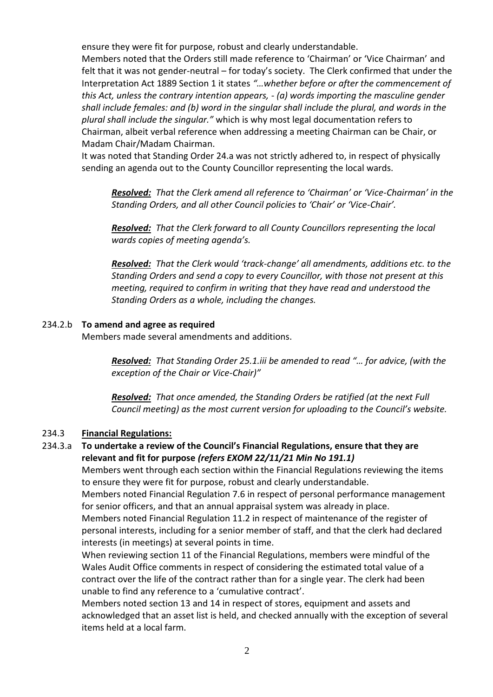ensure they were fit for purpose, robust and clearly understandable.

Members noted that the Orders still made reference to 'Chairman' or 'Vice Chairman' and felt that it was not gender-neutral – for today's society. The Clerk confirmed that under the Interpretation Act 1889 Section 1 it states *"…whether before or after the commencement of this Act, unless the contrary intention appears, - (a) words importing the masculine gender shall include females: and (b) word in the singular shall include the plural, and words in the plural shall include the singular."* which is why most legal documentation refers to Chairman, albeit verbal reference when addressing a meeting Chairman can be Chair, or Madam Chair/Madam Chairman.

It was noted that Standing Order 24.a was not strictly adhered to, in respect of physically sending an agenda out to the County Councillor representing the local wards.

*Resolved: That the Clerk amend all reference to 'Chairman' or 'Vice-Chairman' in the Standing Orders, and all other Council policies to 'Chair' or 'Vice-Chair'.*

*Resolved: That the Clerk forward to all County Councillors representing the local wards copies of meeting agenda's.*

*Resolved: That the Clerk would 'track-change' all amendments, additions etc. to the Standing Orders and send a copy to every Councillor, with those not present at this meeting, required to confirm in writing that they have read and understood the Standing Orders as a whole, including the changes.*

#### 234.2.b **To amend and agree as required**

Members made several amendments and additions.

*Resolved: That Standing Order 25.1.iii be amended to read "… for advice, (with the exception of the Chair or Vice-Chair)"*

*Resolved: That once amended, the Standing Orders be ratified (at the next Full Council meeting) as the most current version for uploading to the Council's website.*

#### 234.3 **Financial Regulations:**

### 234.3.a **To undertake a review of the Council's Financial Regulations, ensure that they are relevant and fit for purpose** *(refers EXOM 22/11/21 Min No 191.1)*

Members went through each section within the Financial Regulations reviewing the items to ensure they were fit for purpose, robust and clearly understandable.

Members noted Financial Regulation 7.6 in respect of personal performance management for senior officers, and that an annual appraisal system was already in place.

Members noted Financial Regulation 11.2 in respect of maintenance of the register of personal interests, including for a senior member of staff, and that the clerk had declared interests (in meetings) at several points in time.

When reviewing section 11 of the Financial Regulations, members were mindful of the Wales Audit Office comments in respect of considering the estimated total value of a contract over the life of the contract rather than for a single year. The clerk had been unable to find any reference to a 'cumulative contract'.

Members noted section 13 and 14 in respect of stores, equipment and assets and acknowledged that an asset list is held, and checked annually with the exception of several items held at a local farm.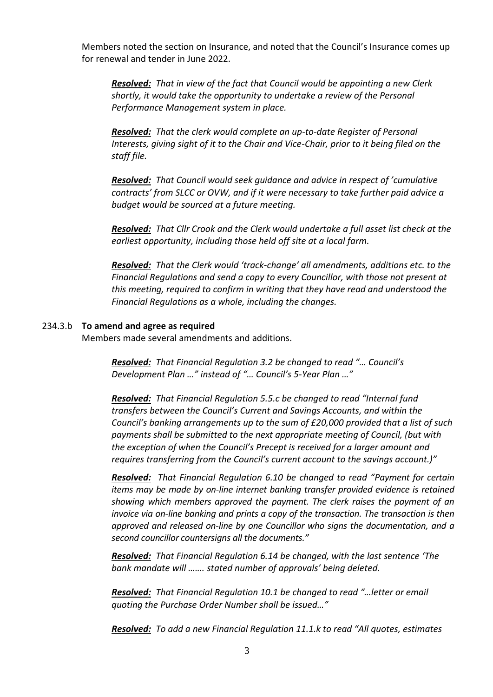Members noted the section on Insurance, and noted that the Council's Insurance comes up for renewal and tender in June 2022.

*Resolved: That in view of the fact that Council would be appointing a new Clerk shortly, it would take the opportunity to undertake a review of the Personal Performance Management system in place.*

*Resolved: That the clerk would complete an up-to-date Register of Personal Interests, giving sight of it to the Chair and Vice-Chair, prior to it being filed on the staff file.*

*Resolved: That Council would seek guidance and advice in respect of 'cumulative contracts' from SLCC or OVW, and if it were necessary to take further paid advice a budget would be sourced at a future meeting.*

*Resolved: That Cllr Crook and the Clerk would undertake a full asset list check at the earliest opportunity, including those held off site at a local farm.*

*Resolved: That the Clerk would 'track-change' all amendments, additions etc. to the Financial Regulations and send a copy to every Councillor, with those not present at this meeting, required to confirm in writing that they have read and understood the Financial Regulations as a whole, including the changes.*

#### 234.3.b **To amend and agree as required**

Members made several amendments and additions.

*Resolved: That Financial Regulation 3.2 be changed to read "… Council's Development Plan …" instead of "… Council's 5-Year Plan …"*

*Resolved: That Financial Regulation 5.5.c be changed to read "Internal fund transfers between the Council's Current and Savings Accounts, and within the Council's banking arrangements up to the sum of £20,000 provided that a list of such payments shall be submitted to the next appropriate meeting of Council, (but with the exception of when the Council's Precept is received for a larger amount and requires transferring from the Council's current account to the savings account.)"*

*Resolved: That Financial Regulation 6.10 be changed to read "Payment for certain items may be made by on-line internet banking transfer provided evidence is retained showing which members approved the payment. The clerk raises the payment of an invoice via on-line banking and prints a copy of the transaction. The transaction is then approved and released on-line by one Councillor who signs the documentation, and a second councillor countersigns all the documents."*

*Resolved: That Financial Regulation 6.14 be changed, with the last sentence 'The bank mandate will ……. stated number of approvals' being deleted.*

*Resolved: That Financial Regulation 10.1 be changed to read "…letter or email quoting the Purchase Order Number shall be issued…"*

*Resolved: To add a new Financial Regulation 11.1.k to read "All quotes, estimates*